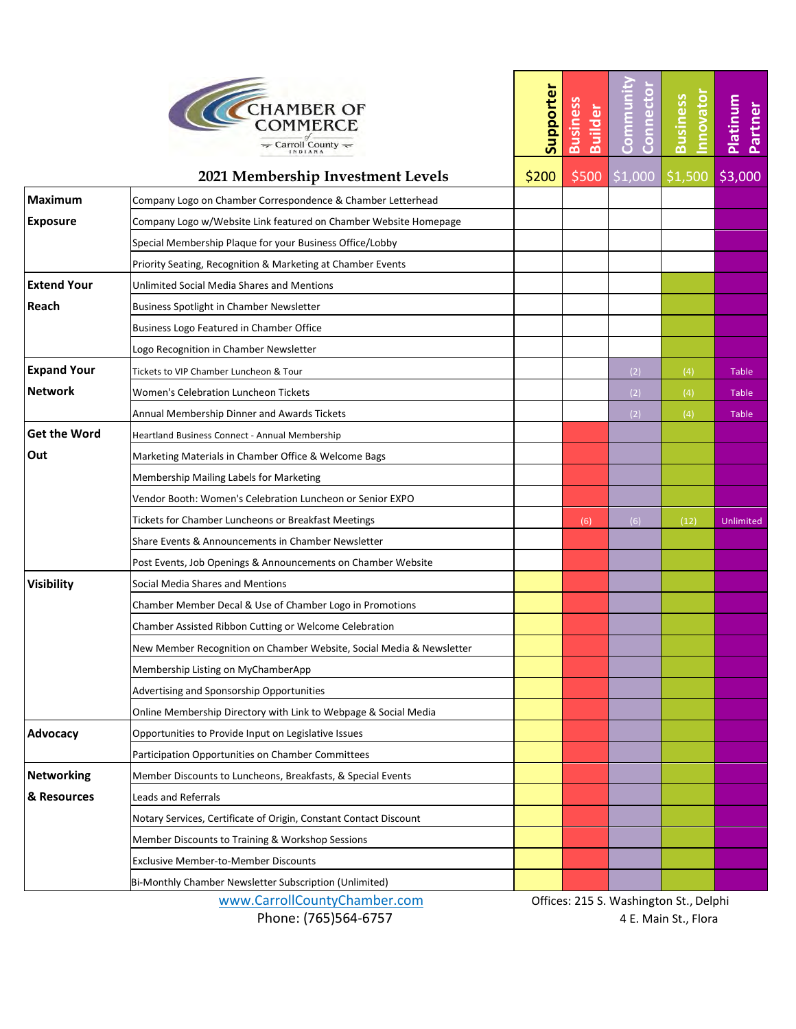| <b>CHAMBER OF</b><br><b>COMMERCE</b><br>$\Rightarrow$ Carroll County |
|----------------------------------------------------------------------|
|                                                                      |

|                     | <b>CHAMBER OF</b><br>COMMERCE<br>Carroll County $\leftharpoondown$   |       | <b>Business</b><br><b>Builder</b> | <u>Commu</u><br>Conne | nnovato<br><b>Business</b>             | Platinum<br>Partner |
|---------------------|----------------------------------------------------------------------|-------|-----------------------------------|-----------------------|----------------------------------------|---------------------|
|                     | 2021 Membership Investment Levels                                    | \$200 | \$500                             | \$1,000               | \$1,500                                | \$3,000             |
| <b>Maximum</b>      | Company Logo on Chamber Correspondence & Chamber Letterhead          |       |                                   |                       |                                        |                     |
| <b>Exposure</b>     | Company Logo w/Website Link featured on Chamber Website Homepage     |       |                                   |                       |                                        |                     |
|                     | Special Membership Plaque for your Business Office/Lobby             |       |                                   |                       |                                        |                     |
|                     | Priority Seating, Recognition & Marketing at Chamber Events          |       |                                   |                       |                                        |                     |
| <b>Extend Your</b>  | Unlimited Social Media Shares and Mentions                           |       |                                   |                       |                                        |                     |
| Reach               | Business Spotlight in Chamber Newsletter                             |       |                                   |                       |                                        |                     |
|                     | Business Logo Featured in Chamber Office                             |       |                                   |                       |                                        |                     |
|                     | Logo Recognition in Chamber Newsletter                               |       |                                   |                       |                                        |                     |
| <b>Expand Your</b>  | Tickets to VIP Chamber Luncheon & Tour                               |       |                                   | (2)                   | (4)                                    | Table               |
| <b>Network</b>      | Women's Celebration Luncheon Tickets                                 |       |                                   | (2)                   | (4)                                    | Table               |
|                     | Annual Membership Dinner and Awards Tickets                          |       |                                   | (2)                   | (4)                                    | Table               |
| <b>Get the Word</b> | Heartland Business Connect - Annual Membership                       |       |                                   |                       |                                        |                     |
| Out                 | Marketing Materials in Chamber Office & Welcome Bags                 |       |                                   |                       |                                        |                     |
|                     | Membership Mailing Labels for Marketing                              |       |                                   |                       |                                        |                     |
|                     | Vendor Booth: Women's Celebration Luncheon or Senior EXPO            |       |                                   |                       |                                        |                     |
|                     | Tickets for Chamber Luncheons or Breakfast Meetings                  |       | (6)                               | (6)                   | (12)                                   | Unlimited           |
|                     | Share Events & Announcements in Chamber Newsletter                   |       |                                   |                       |                                        |                     |
|                     | Post Events, Job Openings & Announcements on Chamber Website         |       |                                   |                       |                                        |                     |
| <b>Visibility</b>   | Social Media Shares and Mentions                                     |       |                                   |                       |                                        |                     |
|                     | Chamber Member Decal & Use of Chamber Logo in Promotions             |       |                                   |                       |                                        |                     |
|                     | Chamber Assisted Ribbon Cutting or Welcome Celebration               |       |                                   |                       |                                        |                     |
|                     | New Member Recognition on Chamber Website, Social Media & Newsletter |       |                                   |                       |                                        |                     |
|                     | Membership Listing on MyChamberApp                                   |       |                                   |                       |                                        |                     |
|                     | Advertising and Sponsorship Opportunities                            |       |                                   |                       |                                        |                     |
|                     | Online Membership Directory with Link to Webpage & Social Media      |       |                                   |                       |                                        |                     |
| Advocacy            | Opportunities to Provide Input on Legislative Issues                 |       |                                   |                       |                                        |                     |
|                     | Participation Opportunities on Chamber Committees                    |       |                                   |                       |                                        |                     |
| <b>Networking</b>   | Member Discounts to Luncheons, Breakfasts, & Special Events          |       |                                   |                       |                                        |                     |
| & Resources         | Leads and Referrals                                                  |       |                                   |                       |                                        |                     |
|                     | Notary Services, Certificate of Origin, Constant Contact Discount    |       |                                   |                       |                                        |                     |
|                     | Member Discounts to Training & Workshop Sessions                     |       |                                   |                       |                                        |                     |
|                     | <b>Exclusive Member-to-Member Discounts</b>                          |       |                                   |                       |                                        |                     |
|                     | Bi-Monthly Chamber Newsletter Subscription (Unlimited)               |       |                                   |                       |                                        |                     |
|                     | www.CarrollCountyChamber.com                                         |       |                                   |                       | Offices: 215 S. Washington St., Delphi |                     |

Phone: (765)564-6757 4 E. Main St., Flora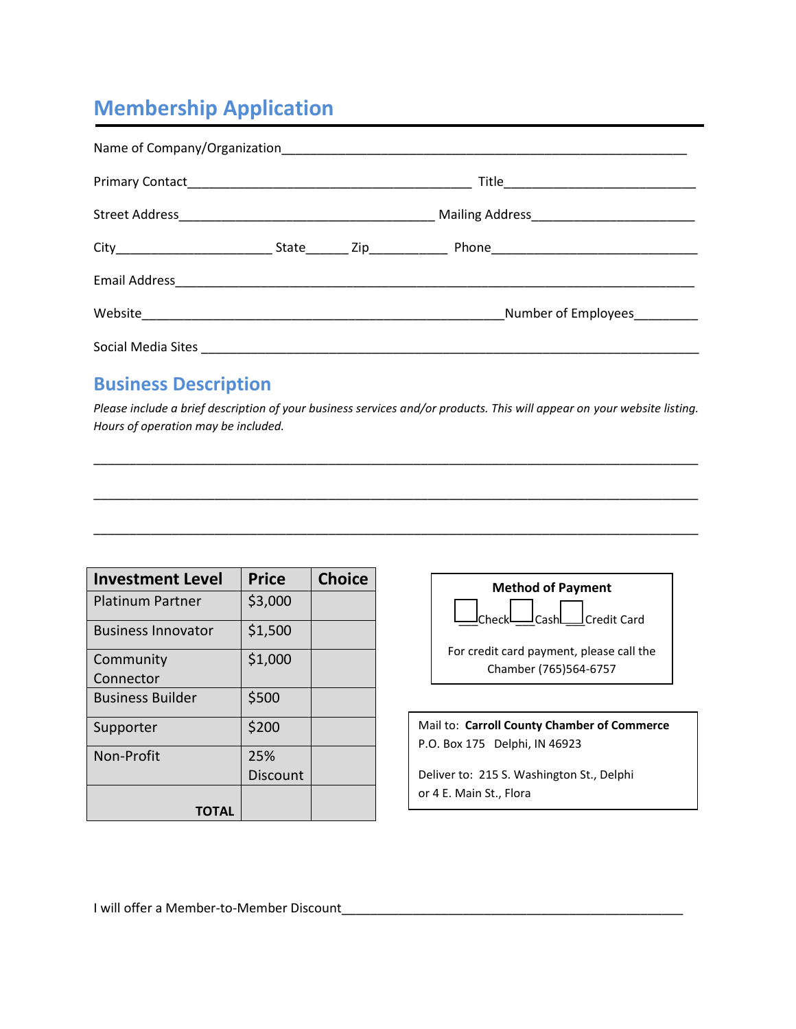## **Membership Application**

|  | Number of Employees |
|--|---------------------|
|  |                     |

## **Business Description**

*Please include a brief description of your business services and/or products. This will appear on your website listing. Hours of operation may be included.*

\_\_\_\_\_\_\_\_\_\_\_\_\_\_\_\_\_\_\_\_\_\_\_\_\_\_\_\_\_\_\_\_\_\_\_\_\_\_\_\_\_\_\_\_\_\_\_\_\_\_\_\_\_\_\_\_\_\_\_\_\_\_\_\_\_\_\_\_\_\_\_\_\_\_\_\_\_\_\_\_\_\_\_\_\_

\_\_\_\_\_\_\_\_\_\_\_\_\_\_\_\_\_\_\_\_\_\_\_\_\_\_\_\_\_\_\_\_\_\_\_\_\_\_\_\_\_\_\_\_\_\_\_\_\_\_\_\_\_\_\_\_\_\_\_\_\_\_\_\_\_\_\_\_\_\_\_\_\_\_\_\_\_\_\_\_\_\_\_\_\_

\_\_\_\_\_\_\_\_\_\_\_\_\_\_\_\_\_\_\_\_\_\_\_\_\_\_\_\_\_\_\_\_\_\_\_\_\_\_\_\_\_\_\_\_\_\_\_\_\_\_\_\_\_\_\_\_\_\_\_\_\_\_\_\_\_\_\_\_\_\_\_\_\_\_\_\_\_\_\_\_\_\_\_\_\_

| <b>Investment Level</b>   | <b>Price</b> | <b>Choice</b> |
|---------------------------|--------------|---------------|
| <b>Platinum Partner</b>   | \$3,000      |               |
| <b>Business Innovator</b> | \$1,500      |               |
| Community                 | \$1,000      |               |
| Connector                 |              |               |
| <b>Business Builder</b>   | \$500        |               |
| Supporter                 | \$200        |               |
| Non-Profit                | 25%          |               |
|                           | Discount     |               |
|                           |              |               |



Mail to: **Carroll County Chamber of Commerce** P.O. Box 175 Delphi, IN 46923

Deliver to: 215 S. Washington St., Delphi or 4 E. Main St., Flora